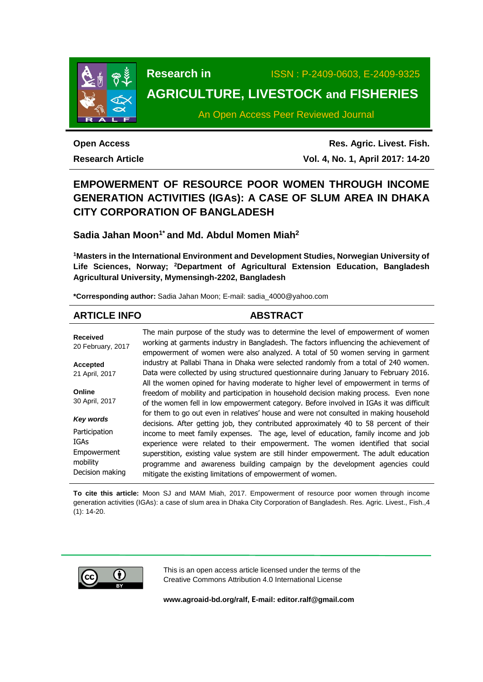

**Research in** ISSN : P-2409-0603, E-2409-9325

# **AGRICULTURE, LIVESTOCK and FISHERIES**

An Open Access Peer Reviewed Journal

# **Open Access**

**Research Article**

**Res. Agric. Livest. Fish. Vol. 4, No. 1, April 2017: 14-20**

# **EMPOWERMENT OF RESOURCE POOR WOMEN THROUGH INCOME GENERATION ACTIVITIES (IGAs): A CASE OF SLUM AREA IN DHAKA CITY CORPORATION OF BANGLADESH**

# **Sadia Jahan Moon1\* and Md. Abdul Momen Miah<sup>2</sup>**

**<sup>1</sup>Masters in the International Environment and Development Studies, Norwegian University of Life Sciences, Norway; <sup>2</sup>Department of Agricultural Extension Education, Bangladesh Agricultural University, Mymensingh-2202, Bangladesh**

**\*Corresponding author:** Sadia Jahan Moon; E-mail: [sadia\\_4000@yahoo.com](mailto:sadia_4000@yahoo.com)

# **ARTICLE INFO ABSTRACT**

**Received** 20 February, 2017 **Accepted** 21 April, 2017 **Online** 30 April, 2017 *Key words* Participation IGAs Empowerment mobility Decision making The main purpose of the study was to determine the level of empowerment of women working at garments industry in Bangladesh. The factors influencing the achievement of empowerment of women were also analyzed. A total of 50 women serving in garment industry at Pallabi Thana in Dhaka were selected randomly from a total of 240 women. Data were collected by using structured questionnaire during January to February 2016. All the women opined for having moderate to higher level of empowerment in terms of freedom of mobility and participation in household decision making process. Even none of the women fell in low empowerment category. Before involved in IGAs it was difficult for them to go out even in relatives' house and were not consulted in making household decisions. After getting job, they contributed approximately 40 to 58 percent of their income to meet family expenses. The age, level of education, family income and job experience were related to their empowerment. The women identified that social superstition, existing value system are still hinder empowerment. The adult education programme and awareness building campaign by the development agencies could mitigate the existing limitations of empowerment of women.

**To cite this article:** Moon SJ and MAM Miah, 2017. Empowerment of resource poor women through income generation activities (IGAs): a case of slum area in Dhaka City Corporation of Bangladesh. Res. Agric. Livest., Fish.,4 (1): 14-20.



This is an open access article licensed under the terms of the Creative Commons Attribution 4.0 International License

**[www.agroaid-bd.org/ralf,](http://www.agroaid-bd.org/ralf) E-mail: [editor.ralf@gmail.com](mailto:editor.ralf@gmail.com)**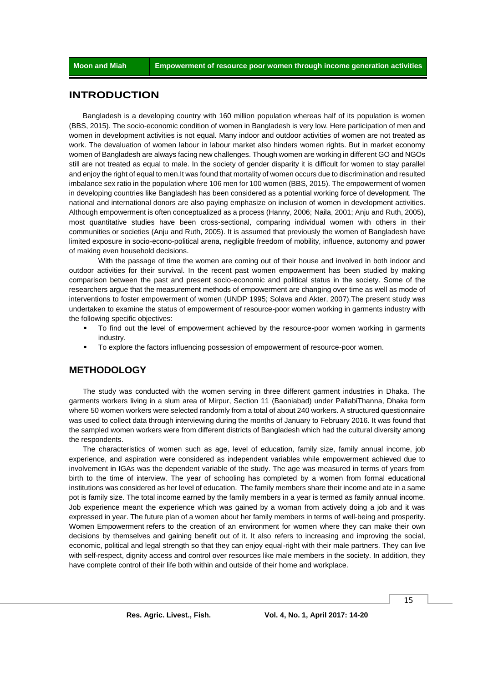## **INTRODUCTION**

Bangladesh is a developing country with 160 million population whereas half of its population is women (BBS, 2015). The socio-economic condition of women in Bangladesh is very low. Here participation of men and women in development activities is not equal. Many indoor and outdoor activities of women are not treated as work. The devaluation of women labour in labour market also hinders women rights. But in market economy women of Bangladesh are always facing new challenges. Though women are working in different GO and NGOs still are not treated as equal to male. In the society of gender disparity it is difficult for women to stay parallel and enjoy the right of equal to men.It was found that mortality of women occurs due to discrimination and resulted imbalance sex ratio in the population where 106 men for 100 women (BBS, 2015). The empowerment of women in developing countries like Bangladesh has been considered as a potential working force of development. The national and international donors are also paying emphasize on inclusion of women in development activities. Although empowerment is often conceptualized as a process (Hanny, 2006; Naila, 2001; Anju and Ruth, 2005), most quantitative studies have been cross-sectional, comparing individual women with others in their communities or societies (Anju and Ruth, 2005). It is assumed that previously the women of Bangladesh have limited exposure in socio-econo-political arena, negligible freedom of mobility, influence, autonomy and power of making even household decisions.

With the passage of time the women are coming out of their house and involved in both indoor and outdoor activities for their survival. In the recent past women empowerment has been studied by making comparison between the past and present socio-economic and political status in the society. Some of the researchers argue that the measurement methods of empowerment are changing over time as well as mode of interventions to foster empowerment of women (UNDP 1995; Solava and Akter, 2007).The present study was undertaken to examine the status of empowerment of resource-poor women working in garments industry with the following specific objectives:

- To find out the level of empowerment achieved by the resource-poor women working in garments industry.
- To explore the factors influencing possession of empowerment of resource-poor women.

# **METHODOLOGY**

The study was conducted with the women serving in three different garment industries in Dhaka. The garments workers living in a slum area of Mirpur, Section 11 (Baoniabad) under PallabiThanna, Dhaka form where 50 women workers were selected randomly from a total of about 240 workers. A structured questionnaire was used to collect data through interviewing during the months of January to February 2016. It was found that the sampled women workers were from different districts of Bangladesh which had the cultural diversity among the respondents.

The characteristics of women such as age, level of education, family size, family annual income, job experience, and aspiration were considered as independent variables while empowerment achieved due to involvement in IGAs was the dependent variable of the study. The age was measured in terms of years from birth to the time of interview. The year of schooling has completed by a women from formal educational institutions was considered as her level of education. The family members share their income and ate in a same pot is family size. The total income earned by the family members in a year is termed as family annual income. Job experience meant the experience which was gained by a woman from actively doing a job and it was expressed in year. The future plan of a women about her family members in terms of well-being and prosperity. Women Empowerment refers to the creation of an environment for women where they can make their own decisions by themselves and gaining benefit out of it. It also refers to increasing and improving the social, economic, political and legal strength so that they can enjoy equal-right with their male partners. They can live with self-respect, dignity access and control over resources like male members in the society. In addition, they have complete control of their life both within and outside of their home and workplace.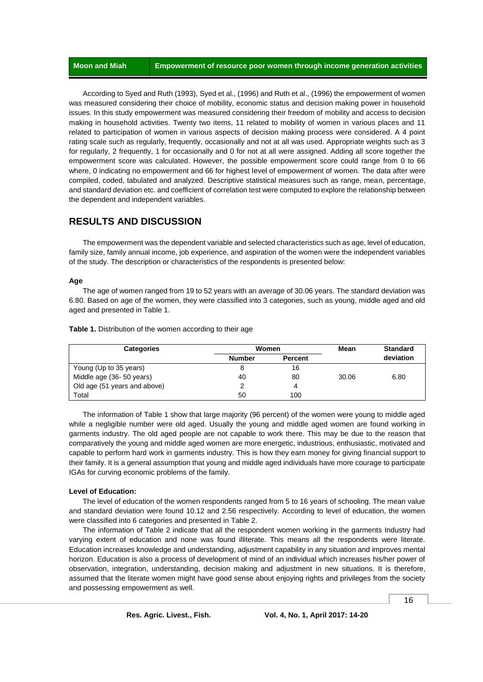According to Syed and Ruth (1993), Syed et al., (1996) and Ruth et al., (1996) the empowerment of women was measured considering their choice of mobility, economic status and decision making power in household issues. In this study empowerment was measured considering their freedom of mobility and access to decision making in household activities. Twenty two items, 11 related to mobility of women in various places and 11 related to participation of women in various aspects of decision making process were considered. A 4 point rating scale such as regularly, frequently, occasionally and not at all was used. Appropriate weights such as 3 for regularly, 2 frequently, 1 for occasionally and 0 for not at all were assigned. Adding all score together the empowerment score was calculated. However, the possible empowerment score could range from 0 to 66 where, 0 indicating no empowerment and 66 for highest level of empowerment of women. The data after were compiled, coded, tabulated and analyzed. Descriptive statistical measures such as range, mean, percentage, and standard deviation etc. and coefficient of correlation test were computed to explore the relationship between the dependent and independent variables.

## **RESULTS AND DISCUSSION**

The empowerment was the dependent variable and selected characteristics such as age, level of education, family size, family annual income, job experience, and aspiration of the women were the independent variables of the study. The description or characteristics of the respondents is presented below:

#### **Age**

The age of women ranged from 19 to 52 years with an average of 30.06 years. The standard deviation was 6.80. Based on age of the women, they were classified into 3 categories, such as young, middle aged and old aged and presented in Table 1.

**Categories Women Mean Standard Number Percent deviation** Young (Up to 35 years) 8 16 Middle age (36- 50 years)  $\begin{array}{cccc} 40 & 80 & 30.06 & 6.80 \end{array}$ Old age (51 years and above) 2 4 **Total** 50 100

**Table 1.** Distribution of the women according to their age

The information of Table 1 show that large majority (96 percent) of the women were young to middle aged while a negligible number were old aged. Usually the young and middle aged women are found working in garments industry. The old aged people are not capable to work there. This may be due to the reason that comparatively the young and middle aged women are more energetic, industrious, enthusiastic, motivated and capable to perform hard work in garments industry. This is how they earn money for giving financial support to their family. It is a general assumption that young and middle aged individuals have more courage to participate IGAs for curving economic problems of the family.

### **Level of Education:**

The level of education of the women respondents ranged from 5 to 16 years of schooling. The mean value and standard deviation were found 10.12 and 2.56 respectively. According to level of education, the women were classified into 6 categories and presented in Table 2.

The information of Table 2 indicate that all the respondent women working in the garments Industry had varying extent of education and none was found illiterate. This means all the respondents were literate. Education increases knowledge and understanding, adjustment capability in any situation and improves mental horizon. Education is also a process of development of mind of an individual which increases his/her power of observation, integration, understanding, decision making and adjustment in new situations. It is therefore, assumed that the literate women might have good sense about enjoying rights and privileges from the society and possessing empowerment as well.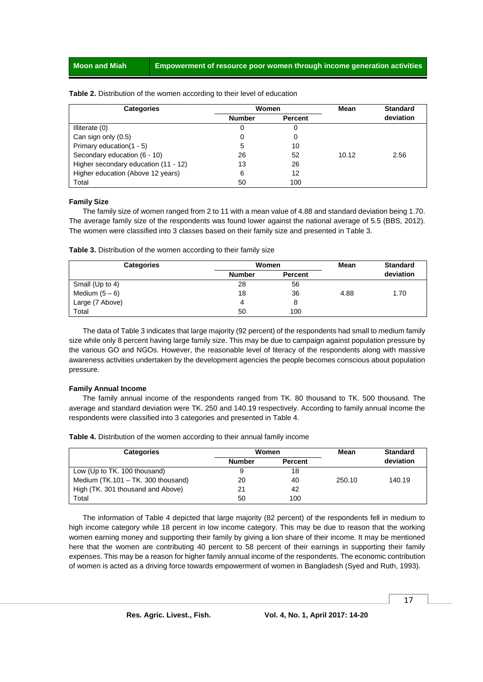| <b>Categories</b>                    | Women         |                | Mean  | <b>Standard</b> |
|--------------------------------------|---------------|----------------|-------|-----------------|
|                                      | <b>Number</b> | <b>Percent</b> |       | deviation       |
| Illiterate (0)                       | 0             |                |       |                 |
| Can sign only (0.5)                  | 0             |                |       |                 |
| Primary education(1 - 5)             | 5             | 10             |       |                 |
| Secondary education (6 - 10)         | 26            | 52             | 10.12 | 2.56            |
| Higher secondary education (11 - 12) | 13            | 26             |       |                 |
| Higher education (Above 12 years)    | 6             | 12             |       |                 |
| Total                                | 50            | 100            |       |                 |

#### **Table 2.** Distribution of the women according to their level of education

#### **Family Size**

The family size of women ranged from 2 to 11 with a mean value of 4.88 and standard deviation being 1.70. The average family size of the respondents was found lower against the national average of 5.5 (BBS, 2012). The women were classified into 3 classes based on their family size and presented in Table 3.

| <b>Categories</b> | Women         |                | Mean | <b>Standard</b> |
|-------------------|---------------|----------------|------|-----------------|
|                   | <b>Number</b> | <b>Percent</b> |      | deviation       |
| Small (Up to 4)   | 28            | 56             |      |                 |
| Medium $(5-6)$    | 18            | 36             | 4.88 | 1.70            |
| Large (7 Above)   | 4             | 8              |      |                 |
| Total             | 50            | 100            |      |                 |

The data of Table 3 indicates that large majority (92 percent) of the respondents had small to medium family size while only 8 percent having large family size. This may be due to campaign against population pressure by the various GO and NGOs. However, the reasonable level of literacy of the respondents along with massive awareness activities undertaken by the development agencies the people becomes conscious about population pressure.

#### **Family Annual Income**

The family annual income of the respondents ranged from TK. 80 thousand to TK. 500 thousand. The average and standard deviation were TK. 250 and 140.19 respectively. According to family annual income the respondents were classified into 3 categories and presented in Table 4.

**Table 4.** Distribution of the women according to their annual family income

| <b>Categories</b>                  | <b>Women</b>  |                | Mean   | <b>Standard</b> |
|------------------------------------|---------------|----------------|--------|-----------------|
|                                    | <b>Number</b> | <b>Percent</b> |        | deviation       |
| Low (Up to TK. 100 thousand)       | 9             | 18             |        |                 |
| Medium (TK.101 - TK. 300 thousand) | 20            | 40             | 250.10 | 140.19          |
| High (TK. 301 thousand and Above)  | 21            | 42             |        |                 |
| Total                              | 50            | 100            |        |                 |

The information of Table 4 depicted that large majority (82 percent) of the respondents fell in medium to high income category while 18 percent in low income category. This may be due to reason that the working women earning money and supporting their family by giving a lion share of their income. It may be mentioned here that the women are contributing 40 percent to 58 percent of their earnings in supporting their family expenses. This may be a reason for higher family annual income of the respondents. The economic contribution of women is acted as a driving force towards empowerment of women in Bangladesh (Syed and Ruth, 1993).

17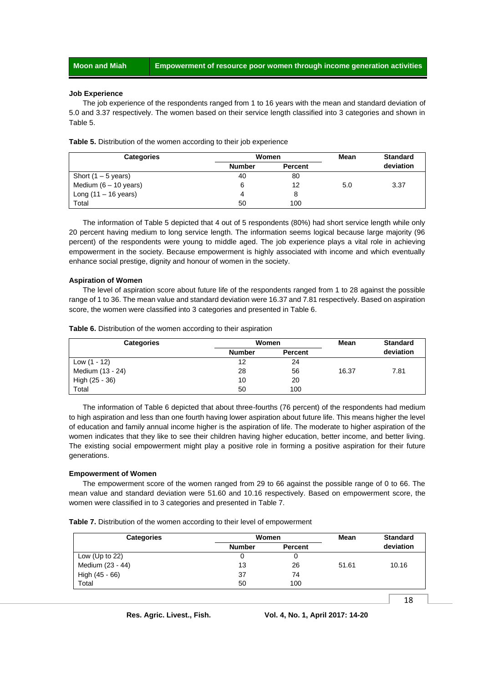#### **Job Experience**

The job experience of the respondents ranged from 1 to 16 years with the mean and standard deviation of 5.0 and 3.37 respectively. The women based on their service length classified into 3 categories and shown in Table 5.

| <b>Categories</b>       | Women         |                | Mean | <b>Standard</b> |
|-------------------------|---------------|----------------|------|-----------------|
|                         | <b>Number</b> | <b>Percent</b> |      | deviation       |
| Short $(1 - 5$ years)   | 40            | 80             |      |                 |
| Medium $(6 - 10$ years) | 6             | 12             | 5.0  | 3.37            |
| Long $(11 - 16$ years)  | 4             |                |      |                 |
| Total                   | 50            | 100            |      |                 |

**Table 5.** Distribution of the women according to their job experience

The information of Table 5 depicted that 4 out of 5 respondents (80%) had short service length while only 20 percent having medium to long service length. The information seems logical because large majority (96 percent) of the respondents were young to middle aged. The job experience plays a vital role in achieving empowerment in the society. Because empowerment is highly associated with income and which eventually enhance social prestige, dignity and honour of women in the society.

#### **Aspiration of Women**

The level of aspiration score about future life of the respondents ranged from 1 to 28 against the possible range of 1 to 36. The mean value and standard deviation were 16.37 and 7.81 respectively. Based on aspiration score, the women were classified into 3 categories and presented in Table 6.

|  | Table 6. Distribution of the women according to their aspiration |  |  |  |
|--|------------------------------------------------------------------|--|--|--|
|  |                                                                  |  |  |  |

| <b>Categories</b> | Women         |                | Mean  | <b>Standard</b> |
|-------------------|---------------|----------------|-------|-----------------|
|                   | <b>Number</b> | <b>Percent</b> |       | deviation       |
| Low (1 - 12)      | 12            | 24             |       |                 |
| Medium (13 - 24)  | 28            | 56             | 16.37 | 7.81            |
| High (25 - 36)    | 10            | 20             |       |                 |
| Total             | 50            | 100            |       |                 |

The information of Table 6 depicted that about three-fourths (76 percent) of the respondents had medium to high aspiration and less than one fourth having lower aspiration about future life. This means higher the level of education and family annual income higher is the aspiration of life. The moderate to higher aspiration of the women indicates that they like to see their children having higher education, better income, and better living. The existing social empowerment might play a positive role in forming a positive aspiration for their future generations.

#### **Empowerment of Women**

The empowerment score of the women ranged from 29 to 66 against the possible range of 0 to 66. The mean value and standard deviation were 51.60 and 10.16 respectively. Based on empowerment score, the women were classified in to 3 categories and presented in Table 7.

|  | Table 7. Distribution of the women according to their level of empowerment |
|--|----------------------------------------------------------------------------|
|  |                                                                            |

| <b>Categories</b> | Women         |                | Mean  | <b>Standard</b> |
|-------------------|---------------|----------------|-------|-----------------|
|                   | <b>Number</b> | <b>Percent</b> |       | deviation       |
| Low (Up to $22$ ) | 0             |                |       |                 |
| Medium (23 - 44)  | 13            | 26             | 51.61 | 10.16           |
| High (45 - 66)    | 37            | 74             |       |                 |
| Total             | 50            | 100            |       |                 |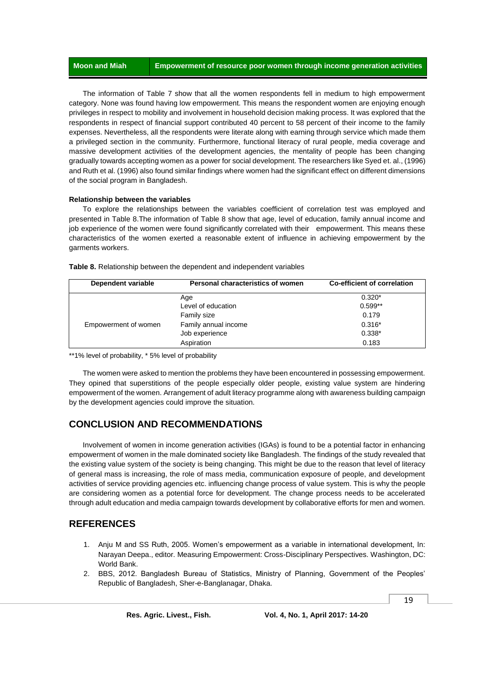The information of Table 7 show that all the women respondents fell in medium to high empowerment category. None was found having low empowerment. This means the respondent women are enjoying enough privileges in respect to mobility and involvement in household decision making process. It was explored that the respondents in respect of financial support contributed 40 percent to 58 percent of their income to the family expenses. Nevertheless, all the respondents were literate along with earning through service which made them a privileged section in the community. Furthermore, functional literacy of rural people, media coverage and massive development activities of the development agencies, the mentality of people has been changing gradually towards accepting women as a power for social development. The researchers like Syed et. al., (1996) and Ruth et al. (1996) also found similar findings where women had the significant effect on different dimensions of the social program in Bangladesh.

#### **Relationship between the variables**

To explore the relationships between the variables coefficient of correlation test was employed and presented in Table 8.The information of Table 8 show that age, level of education, family annual income and job experience of the women were found significantly correlated with their empowerment. This means these characteristics of the women exerted a reasonable extent of influence in achieving empowerment by the garments workers.

| Dependent variable   | Personal characteristics of women | <b>Co-efficient of correlation</b> |
|----------------------|-----------------------------------|------------------------------------|
|                      | Age                               | $0.320*$                           |
|                      | Level of education                | $0.599**$                          |
|                      | Family size                       | 0.179                              |
| Empowerment of women | Family annual income              | $0.316*$                           |
|                      | Job experience                    | $0.338*$                           |
|                      | Aspiration                        | 0.183                              |

**Table 8.** Relationship between the dependent and independent variables

\*\*1% level of probability, \* 5% level of probability

The women were asked to mention the problems they have been encountered in possessing empowerment. They opined that superstitions of the people especially older people, existing value system are hindering empowerment of the women. Arrangement of adult literacy programme along with awareness building campaign by the development agencies could improve the situation.

# **CONCLUSION AND RECOMMENDATIONS**

Involvement of women in income generation activities (IGAs) is found to be a potential factor in enhancing empowerment of women in the male dominated society like Bangladesh. The findings of the study revealed that the existing value system of the society is being changing. This might be due to the reason that level of literacy of general mass is increasing, the role of mass media, communication exposure of people, and development activities of service providing agencies etc. influencing change process of value system. This is why the people are considering women as a potential force for development. The change process needs to be accelerated through adult education and media campaign towards development by collaborative efforts for men and women.

# **REFERENCES**

- 1. Anju M and SS Ruth, 2005. Women's empowerment as a variable in international development, In: Narayan Deepa., editor. Measuring Empowerment: Cross-Disciplinary Perspectives. Washington, DC: World Bank.
- 2. BBS, 2012. Bangladesh Bureau of Statistics, Ministry of Planning, Government of the Peoples' Republic of Bangladesh, Sher-e-Banglanagar, Dhaka.

19